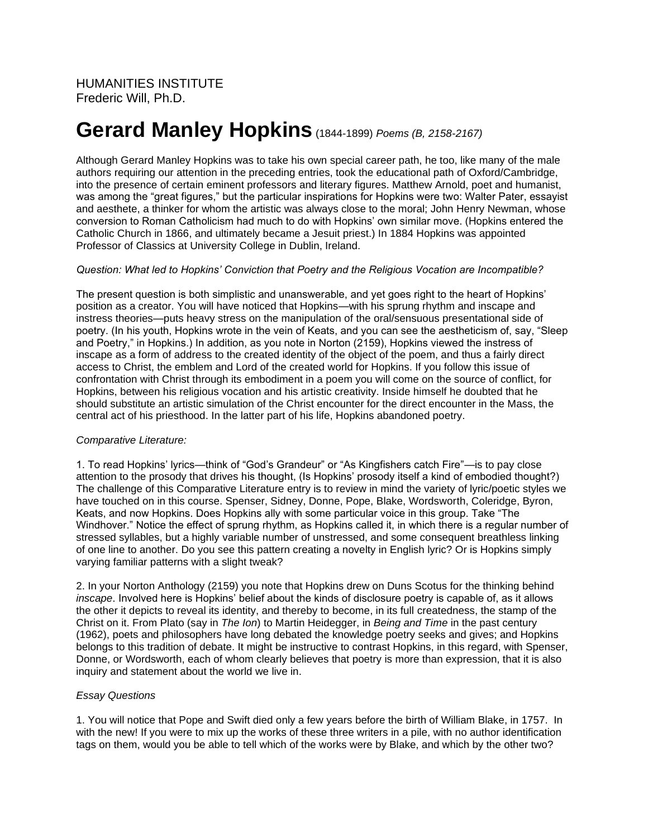# **Gerard Manley Hopkins**(1844-1899) *Poems (B, 2158-2167)*

Although Gerard Manley Hopkins was to take his own special career path, he too, like many of the male authors requiring our attention in the preceding entries, took the educational path of Oxford/Cambridge, into the presence of certain eminent professors and literary figures. Matthew Arnold, poet and humanist, was among the "great figures," but the particular inspirations for Hopkins were two: Walter Pater, essayist and aesthete, a thinker for whom the artistic was always close to the moral; John Henry Newman, whose conversion to Roman Catholicism had much to do with Hopkins' own similar move. (Hopkins entered the Catholic Church in 1866, and ultimately became a Jesuit priest.) In 1884 Hopkins was appointed Professor of Classics at University College in Dublin, Ireland.

## *Question: What led to Hopkins' Conviction that Poetry and the Religious Vocation are Incompatible?*

The present question is both simplistic and unanswerable, and yet goes right to the heart of Hopkins' position as a creator. You will have noticed that Hopkins—with his sprung rhythm and inscape and instress theories—puts heavy stress on the manipulation of the oral/sensuous presentational side of poetry. (In his youth, Hopkins wrote in the vein of Keats, and you can see the aestheticism of, say, "Sleep and Poetry," in Hopkins.) In addition, as you note in Norton (2159), Hopkins viewed the instress of inscape as a form of address to the created identity of the object of the poem, and thus a fairly direct access to Christ, the emblem and Lord of the created world for Hopkins. If you follow this issue of confrontation with Christ through its embodiment in a poem you will come on the source of conflict, for Hopkins, between his religious vocation and his artistic creativity. Inside himself he doubted that he should substitute an artistic simulation of the Christ encounter for the direct encounter in the Mass, the central act of his priesthood. In the latter part of his life, Hopkins abandoned poetry.

## *Comparative Literature:*

1. To read Hopkins' lyrics—think of "God's Grandeur" or "As Kingfishers catch Fire"—is to pay close attention to the prosody that drives his thought, (Is Hopkins' prosody itself a kind of embodied thought?) The challenge of this Comparative Literature entry is to review in mind the variety of lyric/poetic styles we have touched on in this course. Spenser, Sidney, Donne, Pope, Blake, Wordsworth, Coleridge, Byron, Keats, and now Hopkins. Does Hopkins ally with some particular voice in this group. Take "The Windhover." Notice the effect of sprung rhythm, as Hopkins called it, in which there is a regular number of stressed syllables, but a highly variable number of unstressed, and some consequent breathless linking of one line to another. Do you see this pattern creating a novelty in English lyric? Or is Hopkins simply varying familiar patterns with a slight tweak?

2. In your Norton Anthology (2159) you note that Hopkins drew on Duns Scotus for the thinking behind *inscape*. Involved here is Hopkins' belief about the kinds of disclosure poetry is capable of, as it allows the other it depicts to reveal its identity, and thereby to become, in its full createdness, the stamp of the Christ on it. From Plato (say in *The Ion*) to Martin Heidegger, in *Being and Time* in the past century (1962), poets and philosophers have long debated the knowledge poetry seeks and gives; and Hopkins belongs to this tradition of debate. It might be instructive to contrast Hopkins, in this regard, with Spenser, Donne, or Wordsworth, each of whom clearly believes that poetry is more than expression, that it is also inquiry and statement about the world we live in.

## *Essay Questions*

1. You will notice that Pope and Swift died only a few years before the birth of William Blake, in 1757. In with the new! If you were to mix up the works of these three writers in a pile, with no author identification tags on them, would you be able to tell which of the works were by Blake, and which by the other two?